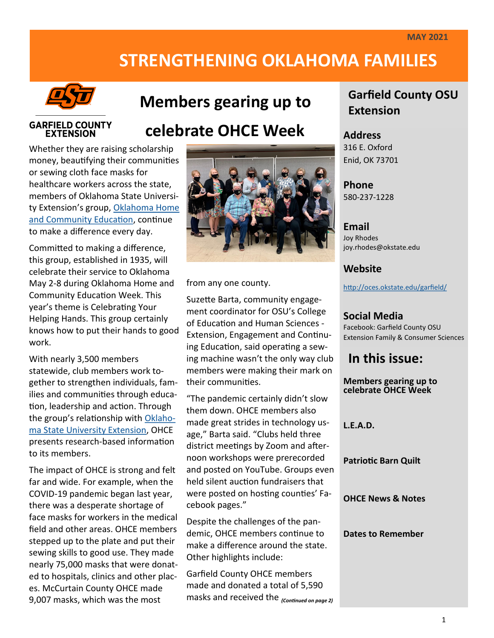# **STRENGTHENING OKLAHOMA FAMILIES**



## **Members gearing up to**

#### **GARFIELD COUNTY EXTENSION**

# **celebrate OHCE Week**

Whether they are raising scholarship money, beautifying their communities or sewing cloth face masks for healthcare workers across the state, members of Oklahoma State University Extension's group, [Oklahoma Home](https://extension.okstate.edu/programs/oklahoma-home-and-community-education/index.html)  [and Community Education,](https://extension.okstate.edu/programs/oklahoma-home-and-community-education/index.html) continue to make a difference every day.

Committed to making a difference, this group, established in 1935, will celebrate their service to Oklahoma May 2-8 during Oklahoma Home and Community Education Week. This year's theme is Celebrating Your Helping Hands. This group certainly knows how to put their hands to good work.

With nearly 3,500 members statewide, club members work together to strengthen individuals, families and communities through education, leadership and action. Through the group's relationship with [Oklaho](https://extension.okstate.edu/)[ma State University Extension,](https://extension.okstate.edu/) OHCE presents research-based information to its members.

The impact of OHCE is strong and felt far and wide. For example, when the COVID-19 pandemic began last year, there was a desperate shortage of face masks for workers in the medical field and other areas. OHCE members stepped up to the plate and put their sewing skills to good use. They made nearly 75,000 masks that were donated to hospitals, clinics and other places. McCurtain County OHCE made 9,007 masks, which was the most



from any one county.

Suzette Barta, community engagement coordinator for OSU's College of Education and Human Sciences - Extension, Engagement and Continuing Education, said operating a sewing machine wasn't the only way club members were making their mark on their communities.

"The pandemic certainly didn't slow them down. OHCE members also made great strides in technology usage," Barta said. "Clubs held three district meetings by Zoom and afternoon workshops were prerecorded and posted on YouTube. Groups even held silent auction fundraisers that were posted on hosting counties' Facebook pages."

Despite the challenges of the pandemic, OHCE members continue to make a difference around the state. Other highlights include:

Garfield County OHCE members made and donated a total of 5,590 masks and received the *(Continued on page 2)*

## **Garfield County OSU Extension**

### **Address**

316 E. Oxford Enid, OK 73701

#### **Phone** 580-237-1228

#### **Email**

Joy Rhodes joy.rhodes@okstate.edu

### **Website**

<http://oces.okstate.edu/garfield/>

### **Social Media**

Facebook: Garfield County OSU Extension Family & Consumer Sciences

## **In this issue:**

**Members gearing up to celebrate OHCE Week**

**L.E.A.D.** 

#### **Patriotic Barn Quilt**

**OHCE News & Notes**

#### **Dates to Remember**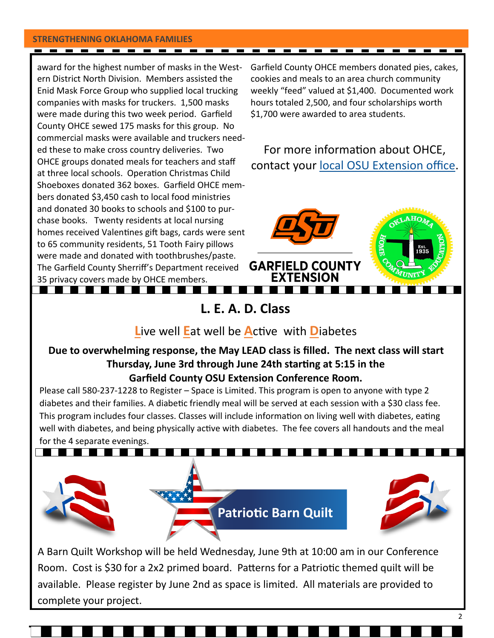#### **STRENGTHENING OKLAHOMA FAMILIES**

award for the highest number of masks in the Western District North Division. Members assisted the Enid Mask Force Group who supplied local trucking companies with masks for truckers. 1,500 masks were made during this two week period. Garfield County OHCE sewed 175 masks for this group. No commercial masks were available and truckers needed these to make cross country deliveries. Two OHCE groups donated meals for teachers and staff at three local schools. Operation Christmas Child Shoeboxes donated 362 boxes. Garfield OHCE members donated \$3,450 cash to local food ministries and donated 30 books to schools and \$100 to purchase books. Twenty residents at local nursing homes received Valentines gift bags, cards were sent to 65 community residents, 51 Tooth Fairy pillows were made and donated with toothbrushes/paste. The Garfield County Sherriff's Department received 35 privacy covers made by OHCE members. **Contract Contract** <u> Tanzania de la provincia de la provincia de la provincia de la provincia de la provincia de la provincia de l</u>

Garfield County OHCE members donated pies, cakes, cookies and meals to an area church community weekly "feed" valued at \$1,400. Documented work hours totaled 2,500, and four scholarships worth \$1,700 were awarded to area students.

## For more information about OHCE, contact your [local OSU Extension office.](https://extension.okstate.edu/county/index.html)



## **L. E. A. D. Class**

### **L**ive well **E**at well be **A**ctive with **D**iabetes

### **Due to overwhelming response, the May LEAD class is filled. The next class will start Thursday, June 3rd through June 24th starting at 5:15 in the Garfield County OSU Extension Conference Room.**

Please call 580-237-1228 to Register – Space is Limited. This program is open to anyone with type 2 diabetes and their families. A diabetic friendly meal will be served at each session with a \$30 class fee. This program includes four classes. Classes will include information on living well with diabetes, eating well with diabetes, and being physically active with diabetes. The fee covers all handouts and the meal for the 4 separate evenings.



A Barn Quilt Workshop will be held Wednesday, June 9th at 10:00 am in our Conference Room. Cost is \$30 for a 2x2 primed board. Patterns for a Patriotic themed quilt will be available. Please register by June 2nd as space is limited. All materials are provided to complete your project.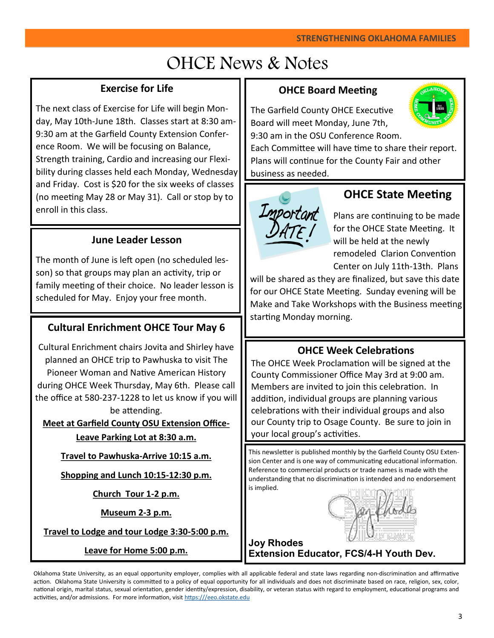# OHCE News & Notes

### **Exercise for Life**

The next class of Exercise for Life will begin Monday, May 10th-June 18th. Classes start at 8:30 am-9:30 am at the Garfield County Extension Conference Room. We will be focusing on Balance, Strength training, Cardio and increasing our Flexibility during classes held each Monday, Wednesday and Friday. Cost is \$20 for the six weeks of classes (no meeting May 28 or May 31). Call or stop by to enroll in this class.

### **June Leader Lesson**

The month of June is left open (no scheduled lesson) so that groups may plan an activity, trip or family meeting of their choice. No leader lesson is scheduled for May. Enjoy your free month.

### **Cultural Enrichment OHCE Tour May 6**

Cultural Enrichment chairs Jovita and Shirley have planned an OHCE trip to Pawhuska to visit The Pioneer Woman and Native American History during OHCE Week Thursday, May 6th. Please call the office at 580-237-1228 to let us know if you will be attending.

**Meet at Garfield County OSU Extension Office-Leave Parking Lot at 8:30 a.m.**

**Travel to Pawhuska-Arrive 10:15 a.m.**

**Shopping and Lunch 10:15-12:30 p.m.**

**Church Tour 1-2 p.m.**

**Museum 2-3 p.m.**

**Travel to Lodge and tour Lodge 3:30-5:00 p.m.**

**Leave for Home 5:00 p.m.**

### **OHCE Board Meeting**

The Garfield County OHCE Executive Board will meet Monday, June 7th, 9:30 am in the OSU Conference Room.



Each Committee will have time to share their report. Plans will continue for the County Fair and other business as needed.



## **OHCE State Meeting**

Plans are continuing to be made for the OHCE State Meeting. It will be held at the newly remodeled Clarion Convention Center on July 11th-13th. Plans

will be shared as they are finalized, but save this date for our OHCE State Meeting. Sunday evening will be Make and Take Workshops with the Business meeting starting Monday morning.

### **OHCE Week Celebrations**

The OHCE Week Proclamation will be signed at the County Commissioner Office May 3rd at 9:00 am. Members are invited to join this celebration. In addition, individual groups are planning various celebrations with their individual groups and also our County trip to Osage County. Be sure to join in your local group's activities.

This newsletter is published monthly by the Garfield County OSU Extension Center and is one way of communicating educational information. Reference to commercial products or trade names is made with the understanding that no discrimination is intended and no endorsement is implied.

an Khodes

**Joy Rhodes Extension Educator, FCS/4-H Youth Dev.** 

Oklahoma State University, as an equal opportunity employer, complies with all applicable federal and state laws regarding non-discrimination and affirmative action. Oklahoma State University is committed to a policy of equal opportunity for all individuals and does not discriminate based on race, religion, sex, color, national origin, marital status, sexual orientation, gender identity/expression, disability, or veteran status with regard to employment, educational programs and activities, and/or admissions. For more information, visit [https:///eeo.okstate.edu](https://eeo.okstate.edu/)